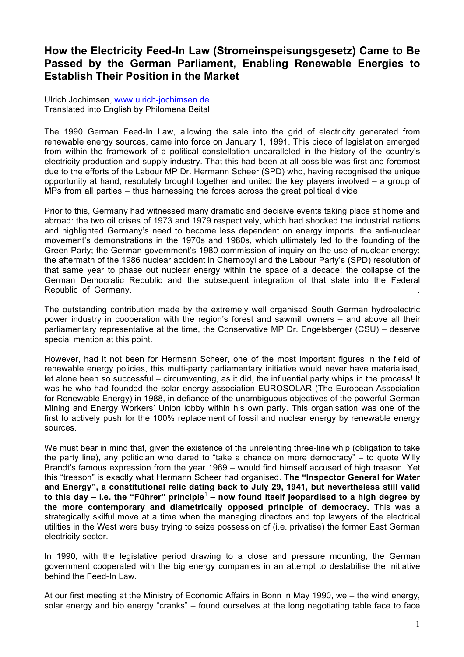# **How the Electricity Feed-In Law (Stromeinspeisungsgesetz) Came to Be Passed by the German Parliament, Enabling Renewable Energies to Establish Their Position in the Market**

Ulrich Jochimsen, www.ulrich-jochimsen.de Translated into English by Philomena Beital

The 1990 German Feed-In Law, allowing the sale into the grid of electricity generated from renewable energy sources, came into force on January 1, 1991. This piece of legislation emerged from within the framework of a political constellation unparalleled in the history of the country's electricity production and supply industry. That this had been at all possible was first and foremost due to the efforts of the Labour MP Dr. Hermann Scheer (SPD) who, having recognised the unique opportunity at hand, resolutely brought together and united the key players involved – a group of MPs from all parties – thus harnessing the forces across the great political divide. .

Prior to this, Germany had witnessed many dramatic and decisive events taking place at home and abroad: the two oil crises of 1973 and 1979 respectively, which had shocked the industrial nations and highlighted Germany's need to become less dependent on energy imports; the anti-nuclear movement's demonstrations in the 1970s and 1980s, which ultimately led to the founding of the Green Party; the German government's 1980 commission of inquiry on the use of nuclear energy; the aftermath of the 1986 nuclear accident in Chernobyl and the Labour Party's (SPD) resolution of that same year to phase out nuclear energy within the space of a decade; the collapse of the German Democratic Republic and the subsequent integration of that state into the Federal Republic of Germany. .

The outstanding contribution made by the extremely well organised South German hydroelectric power industry in cooperation with the region's forest and sawmill owners – and above all their parliamentary representative at the time, the Conservative MP Dr. Engelsberger (CSU) – deserve special mention at this point.

However, had it not been for Hermann Scheer, one of the most important figures in the field of renewable energy policies, this multi-party parliamentary initiative would never have materialised, let alone been so successful – circumventing, as it did, the influential party whips in the process! It was he who had founded the solar energy association EUROSOLAR (The European Association for Renewable Energy) in 1988, in defiance of the unambiguous objectives of the powerful German Mining and Energy Workers' Union lobby within his own party. This organisation was one of the first to actively push for the 100% replacement of fossil and nuclear energy by renewable energy sources.

We must bear in mind that, given the existence of the unrelenting three-line whip (obligation to take the party line), any politician who dared to "take a chance on more democracy" – to quote Willy Brandt's famous expression from the year 1969 – would find himself accused of high treason. Yet this "treason" is exactly what Hermann Scheer had organised. **The "Inspector General for Water and Energy", a constitutional relic dating back to July 29, 1941, but nevertheless still valid to this day – i.e. the "Führer" principle**<sup>1</sup> **– now found itself jeopardised to a high degree by the more contemporary and diametrically opposed principle of democracy.** This was a strategically skilful move at a time when the managing directors and top lawyers of the electrical utilities in the West were busy trying to seize possession of (i.e. privatise) the former East German electricity sector.

In 1990, with the legislative period drawing to a close and pressure mounting, the German government cooperated with the big energy companies in an attempt to destabilise the initiative behind the Feed-In Law.

At our first meeting at the Ministry of Economic Affairs in Bonn in May 1990, we – the wind energy, solar energy and bio energy "cranks" – found ourselves at the long negotiating table face to face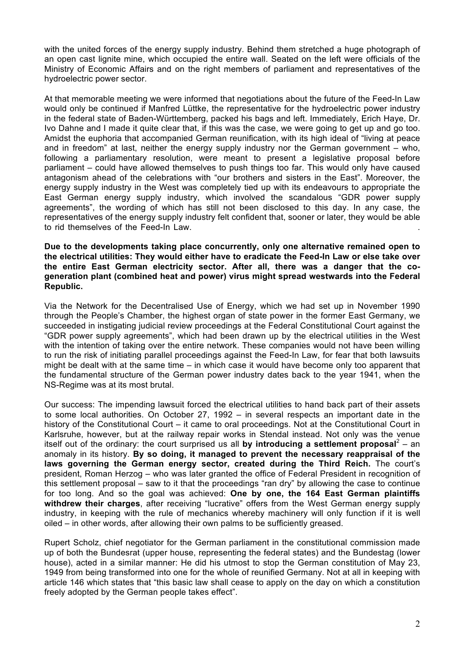with the united forces of the energy supply industry. Behind them stretched a huge photograph of an open cast lignite mine, which occupied the entire wall. Seated on the left were officials of the Ministry of Economic Affairs and on the right members of parliament and representatives of the hydroelectric power sector.

At that memorable meeting we were informed that negotiations about the future of the Feed-In Law would only be continued if Manfred Lüttke, the representative for the hydroelectric power industry in the federal state of Baden-Württemberg, packed his bags and left. Immediately, Erich Haye, Dr. Ivo Dahne and I made it quite clear that, if this was the case, we were going to get up and go too. Amidst the euphoria that accompanied German reunification, with its high ideal of "living at peace and in freedom" at last, neither the energy supply industry nor the German government – who, following a parliamentary resolution, were meant to present a legislative proposal before parliament – could have allowed themselves to push things too far. This would only have caused antagonism ahead of the celebrations with "our brothers and sisters in the East". Moreover, the energy supply industry in the West was completely tied up with its endeavours to appropriate the East German energy supply industry, which involved the scandalous "GDR power supply agreements", the wording of which has still not been disclosed to this day. In any case, the representatives of the energy supply industry felt confident that, sooner or later, they would be able to rid themselves of the Feed-In Law. .

#### **Due to the developments taking place concurrently, only one alternative remained open to the electrical utilities: They would either have to eradicate the Feed-In Law or else take over the entire East German electricity sector. After all, there was a danger that the cogeneration plant (combined heat and power) virus might spread westwards into the Federal Republic.**

Via the Network for the Decentralised Use of Energy, which we had set up in November 1990 through the People's Chamber, the highest organ of state power in the former East Germany, we succeeded in instigating judicial review proceedings at the Federal Constitutional Court against the "GDR power supply agreements", which had been drawn up by the electrical utilities in the West with the intention of taking over the entire network. These companies would not have been willing to run the risk of initiating parallel proceedings against the Feed-In Law, for fear that both lawsuits might be dealt with at the same time – in which case it would have become only too apparent that the fundamental structure of the German power industry dates back to the year 1941, when the NS-Regime was at its most brutal.

Our success: The impending lawsuit forced the electrical utilities to hand back part of their assets to some local authorities. On October 27, 1992 – in several respects an important date in the history of the Constitutional Court – it came to oral proceedings. Not at the Constitutional Court in Karlsruhe, however, but at the railway repair works in Stendal instead. Not only was the venue itself out of the ordinary: the court surprised us all **by introducing a settlement proposal**<sup>2</sup> – an anomaly in its history. **By so doing, it managed to prevent the necessary reappraisal of the laws governing the German energy sector, created during the Third Reich.** The court's president, Roman Herzog – who was later granted the office of Federal President in recognition of this settlement proposal – saw to it that the proceedings "ran dry" by allowing the case to continue for too long. And so the goal was achieved: **One by one, the 164 East German plaintiffs withdrew their charges**, after receiving "lucrative" offers from the West German energy supply industry, in keeping with the rule of mechanics whereby machinery will only function if it is well oiled – in other words, after allowing their own palms to be sufficiently greased.

Rupert Scholz, chief negotiator for the German parliament in the constitutional commission made up of both the Bundesrat (upper house, representing the federal states) and the Bundestag (lower house), acted in a similar manner: He did his utmost to stop the German constitution of May 23, 1949 from being transformed into one for the whole of reunified Germany. Not at all in keeping with article 146 which states that "this basic law shall cease to apply on the day on which a constitution freely adopted by the German people takes effect".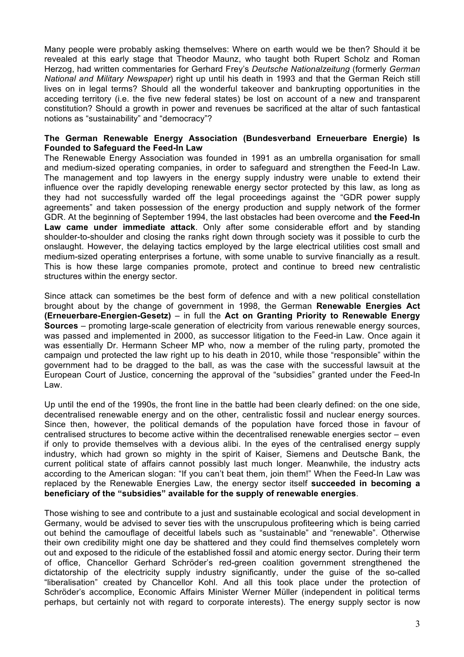Many people were probably asking themselves: Where on earth would we be then? Should it be revealed at this early stage that Theodor Maunz, who taught both Rupert Scholz and Roman Herzog, had written commentaries for Gerhard Frey's *Deutsche Nationalzeitung* (formerly *German National and Military Newspaper*) right up until his death in 1993 and that the German Reich still lives on in legal terms? Should all the wonderful takeover and bankrupting opportunities in the acceding territory (i.e. the five new federal states) be lost on account of a new and transparent constitution? Should a growth in power and revenues be sacrificed at the altar of such fantastical notions as "sustainability" and "democracy"?

### **The German Renewable Energy Association (Bundesverband Erneuerbare Energie) Is Founded to Safeguard the Feed-In Law**

The Renewable Energy Association was founded in 1991 as an umbrella organisation for small and medium-sized operating companies, in order to safeguard and strengthen the Feed-In Law. The management and top lawyers in the energy supply industry were unable to extend their influence over the rapidly developing renewable energy sector protected by this law, as long as they had not successfully warded off the legal proceedings against the "GDR power supply agreements" and taken possession of the energy production and supply network of the former GDR. At the beginning of September 1994, the last obstacles had been overcome and **the Feed-In Law came under immediate attack**. Only after some considerable effort and by standing shoulder-to-shoulder and closing the ranks right down through society was it possible to curb the onslaught. However, the delaying tactics employed by the large electrical utilities cost small and medium-sized operating enterprises a fortune, with some unable to survive financially as a result. This is how these large companies promote, protect and continue to breed new centralistic structures within the energy sector.

Since attack can sometimes be the best form of defence and with a new political constellation brought about by the change of government in 1998, the German **Renewable Energies Act (Erneuerbare-Energien-Gesetz)** – in full the **Act on Granting Priority to Renewable Energy Sources** – promoting large-scale generation of electricity from various renewable energy sources, was passed and implemented in 2000, as successor litigation to the Feed-in Law. Once again it was essentially Dr. Hermann Scheer MP who, now a member of the ruling party, promoted the campaign und protected the law right up to his death in 2010, while those "responsible" within the government had to be dragged to the ball, as was the case with the successful lawsuit at the European Court of Justice, concerning the approval of the "subsidies" granted under the Feed-In Law.

Up until the end of the 1990s, the front line in the battle had been clearly defined: on the one side, decentralised renewable energy and on the other, centralistic fossil and nuclear energy sources. Since then, however, the political demands of the population have forced those in favour of centralised structures to become active within the decentralised renewable energies sector – even if only to provide themselves with a devious alibi. In the eyes of the centralised energy supply industry, which had grown so mighty in the spirit of Kaiser, Siemens and Deutsche Bank, the current political state of affairs cannot possibly last much longer. Meanwhile, the industry acts according to the American slogan: "If you can't beat them, join them!" When the Feed-In Law was replaced by the Renewable Energies Law, the energy sector itself **succeeded in becoming a beneficiary of the "subsidies" available for the supply of renewable energies**.

Those wishing to see and contribute to a just and sustainable ecological and social development in Germany, would be advised to sever ties with the unscrupulous profiteering which is being carried out behind the camouflage of deceitful labels such as "sustainable" and "renewable". Otherwise their own credibility might one day be shattered and they could find themselves completely worn out and exposed to the ridicule of the established fossil and atomic energy sector. During their term of office, Chancellor Gerhard Schröder's red-green coalition government strengthened the dictatorship of the electricity supply industry significantly, under the guise of the so-called "liberalisation" created by Chancellor Kohl. And all this took place under the protection of Schröder's accomplice, Economic Affairs Minister Werner Müller (independent in political terms perhaps, but certainly not with regard to corporate interests). The energy supply sector is now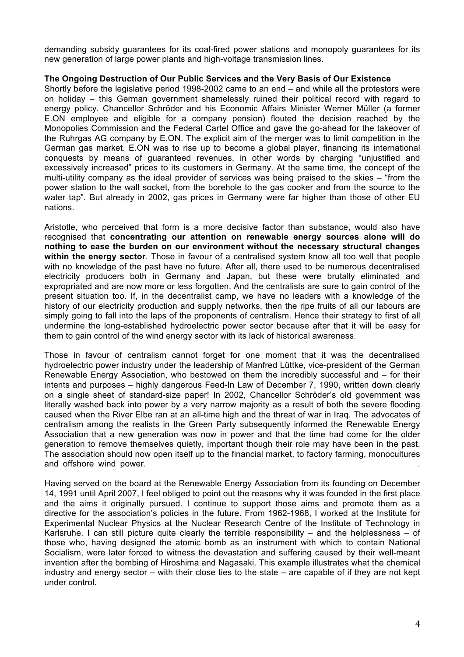demanding subsidy guarantees for its coal-fired power stations and monopoly guarantees for its new generation of large power plants and high-voltage transmission lines.

### **The Ongoing Destruction of Our Public Services and the Very Basis of Our Existence**

Shortly before the legislative period 1998-2002 came to an end – and while all the protestors were on holiday – this German government shamelessly ruined their political record with regard to energy policy. Chancellor Schröder and his Economic Affairs Minister Werner Müller (a former E.ON employee and eligible for a company pension) flouted the decision reached by the Monopolies Commission and the Federal Cartel Office and gave the go-ahead for the takeover of the Ruhrgas AG company by E.ON. The explicit aim of the merger was to limit competition in the German gas market. E.ON was to rise up to become a global player, financing its international conquests by means of guaranteed revenues, in other words by charging "unjustified and excessively increased" prices to its customers in Germany. At the same time, the concept of the multi-utility company as the ideal provider of services was being praised to the skies – "from the power station to the wall socket, from the borehole to the gas cooker and from the source to the water tap". But already in 2002, gas prices in Germany were far higher than those of other EU nations.

Aristotle, who perceived that form is a more decisive factor than substance, would also have recognised that **concentrating our attention on renewable energy sources alone will do nothing to ease the burden on our environment without the necessary structural changes within the energy sector**. Those in favour of a centralised system know all too well that people with no knowledge of the past have no future. After all, there used to be numerous decentralised electricity producers both in Germany and Japan, but these were brutally eliminated and expropriated and are now more or less forgotten. And the centralists are sure to gain control of the present situation too. If, in the decentralist camp, we have no leaders with a knowledge of the history of our electricity production and supply networks, then the ripe fruits of all our labours are simply going to fall into the laps of the proponents of centralism. Hence their strategy to first of all undermine the long-established hydroelectric power sector because after that it will be easy for them to gain control of the wind energy sector with its lack of historical awareness.

Those in favour of centralism cannot forget for one moment that it was the decentralised hydroelectric power industry under the leadership of Manfred Lüttke, vice-president of the German Renewable Energy Association, who bestowed on them the incredibly successful and – for their intents and purposes – highly dangerous Feed-In Law of December 7, 1990, written down clearly on a single sheet of standard-size paper! In 2002, Chancellor Schröder's old government was literally washed back into power by a very narrow majority as a result of both the severe flooding caused when the River Elbe ran at an all-time high and the threat of war in Iraq. The advocates of centralism among the realists in the Green Party subsequently informed the Renewable Energy Association that a new generation was now in power and that the time had come for the older generation to remove themselves quietly, important though their role may have been in the past. The association should now open itself up to the financial market, to factory farming, monocultures and offshore wind power.

Having served on the board at the Renewable Energy Association from its founding on December 14, 1991 until April 2007, I feel obliged to point out the reasons why it was founded in the first place and the aims it originally pursued. I continue to support those aims and promote them as a directive for the association's policies in the future. From 1962-1968, I worked at the Institute for Experimental Nuclear Physics at the Nuclear Research Centre of the Institute of Technology in Karlsruhe. I can still picture quite clearly the terrible responsibility  $-$  and the helplessness  $-$  of those who, having designed the atomic bomb as an instrument with which to contain National Socialism, were later forced to witness the devastation and suffering caused by their well-meant invention after the bombing of Hiroshima and Nagasaki. This example illustrates what the chemical industry and energy sector – with their close ties to the state – are capable of if they are not kept under control.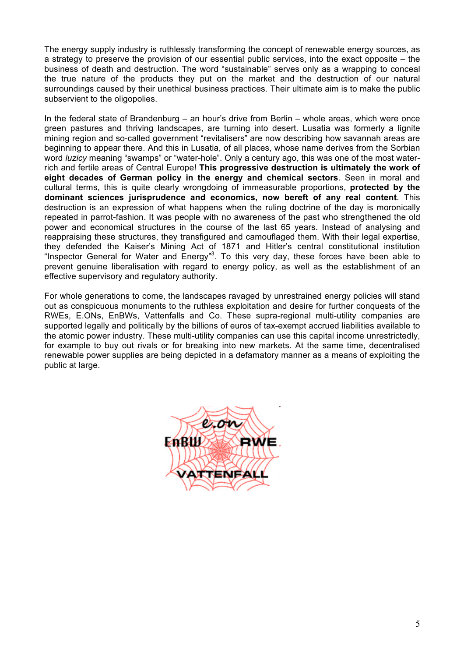The energy supply industry is ruthlessly transforming the concept of renewable energy sources, as a strategy to preserve the provision of our essential public services, into the exact opposite – the business of death and destruction. The word "sustainable" serves only as a wrapping to conceal the true nature of the products they put on the market and the destruction of our natural surroundings caused by their unethical business practices. Their ultimate aim is to make the public subservient to the oligopolies.

In the federal state of Brandenburg – an hour's drive from Berlin – whole areas, which were once green pastures and thriving landscapes, are turning into desert. Lusatia was formerly a lignite mining region and so-called government "revitalisers" are now describing how savannah areas are beginning to appear there. And this in Lusatia, of all places, whose name derives from the Sorbian word *luzicy* meaning "swamps" or "water-hole". Only a century ago, this was one of the most waterrich and fertile areas of Central Europe! **This progressive destruction is ultimately the work of eight decades of German policy in the energy and chemical sectors**. Seen in moral and cultural terms, this is quite clearly wrongdoing of immeasurable proportions, **protected by the dominant sciences jurisprudence and economics, now bereft of any real content**. This destruction is an expression of what happens when the ruling doctrine of the day is moronically repeated in parrot-fashion. It was people with no awareness of the past who strengthened the old power and economical structures in the course of the last 65 years. Instead of analysing and reappraising these structures, they transfigured and camouflaged them. With their legal expertise, they defended the Kaiser's Mining Act of 1871 and Hitler's central constitutional institution "Inspector General for Water and Energy"<sup>3</sup>. To this very day, these forces have been able to prevent genuine liberalisation with regard to energy policy, as well as the establishment of an effective supervisory and regulatory authority.

For whole generations to come, the landscapes ravaged by unrestrained energy policies will stand out as conspicuous monuments to the ruthless exploitation and desire for further conquests of the RWEs, E.ONs, EnBWs, Vattenfalls and Co. These supra-regional multi-utility companies are supported legally and politically by the billions of euros of tax-exempt accrued liabilities available to the atomic power industry. These multi-utility companies can use this capital income unrestrictedly, for example to buy out rivals or for breaking into new markets. At the same time, decentralised renewable power supplies are being depicted in a defamatory manner as a means of exploiting the public at large.